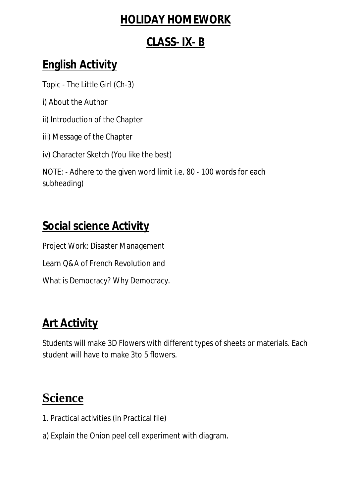### **HOLIDAY HOMEWORK**

#### **CLASS- IX- B**

### **English Activity**

Topic - The Little Girl (Ch-3)

- i) About the Author
- ii) Introduction of the Chapter
- iii) Message of the Chapter

iv) Character Sketch (You like the best)

NOTE: - Adhere to the given word limit i.e. 80 - 100 words for each subheading)

### **Social science Activity**

Project Work: Disaster Management

Learn Q&A of French Revolution and

What is Democracy? Why Democracy.

## **Art Activity**

Students will make 3D Flowers with different types of sheets or materials. Each student will have to make 3to 5 flowers.

# **Science**

- 1. Practical activities (in Practical file)
- a) Explain the Onion peel cell experiment with diagram.